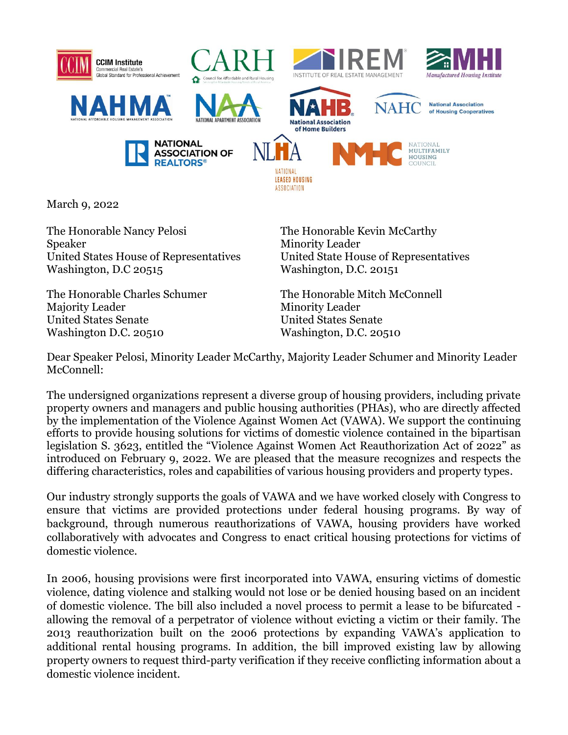

March 9, 2022

The Honorable Nancy Pelosi **The Honorable Kevin McCarthy** Speaker Minority Leader United States House of Representatives United State House of Representatives Washington, D.C 20515 Washington, D.C. 20151

The Honorable Charles Schumer The Honorable Mitch McConnell Majority Leader Minority Leader United States Senate United States Senate Washington D.C. 20510 Washington, D.C. 20510

Dear Speaker Pelosi, Minority Leader McCarthy, Majority Leader Schumer and Minority Leader McConnell:

The undersigned organizations represent a diverse group of housing providers, including private property owners and managers and public housing authorities (PHAs), who are directly affected by the implementation of the Violence Against Women Act (VAWA). We support the continuing efforts to provide housing solutions for victims of domestic violence contained in the bipartisan legislation S. 3623, entitled the "Violence Against Women Act Reauthorization Act of 2022" as introduced on February 9, 2022. We are pleased that the measure recognizes and respects the differing characteristics, roles and capabilities of various housing providers and property types.

Our industry strongly supports the goals of VAWA and we have worked closely with Congress to ensure that victims are provided protections under federal housing programs. By way of background, through numerous reauthorizations of VAWA, housing providers have worked collaboratively with advocates and Congress to enact critical housing protections for victims of domestic violence.

In 2006, housing provisions were first incorporated into VAWA, ensuring victims of domestic violence, dating violence and stalking would not lose or be denied housing based on an incident of domestic violence. The bill also included a novel process to permit a lease to be bifurcated allowing the removal of a perpetrator of violence without evicting a victim or their family. The 2013 reauthorization built on the 2006 protections by expanding VAWA's application to additional rental housing programs. In addition, the bill improved existing law by allowing property owners to request third-party verification if they receive conflicting information about a domestic violence incident.